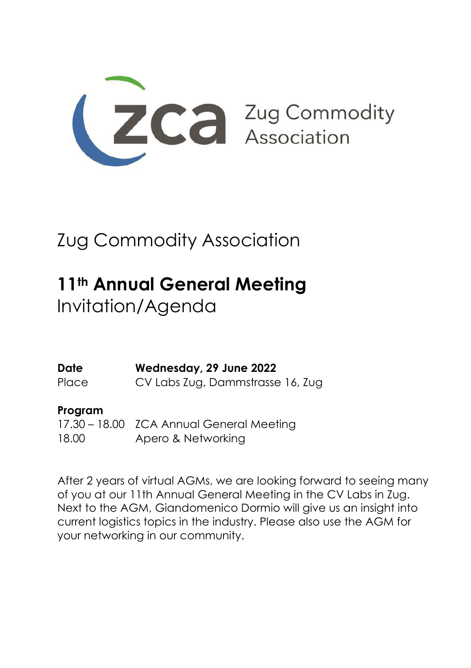**ZCa** Zug Commodity

# Zug Commodity Association

# **11th Annual General Meeting** Invitation/Agenda

**Date Wednesday, 29 June 2022** Place CV Labs Zug, Dammstrasse 16, Zug

## **Program**

|       | 17.30 - 18.00 ZCA Annual General Meeting |
|-------|------------------------------------------|
| 18.00 | Apero & Networking                       |

After 2 years of virtual AGMs, we are looking forward to seeing many of you at our 11th Annual General Meeting in the CV Labs in Zug. Next to the AGM, Giandomenico Dormio will give us an insight into current logistics topics in the industry. Please also use the AGM for your networking in our community.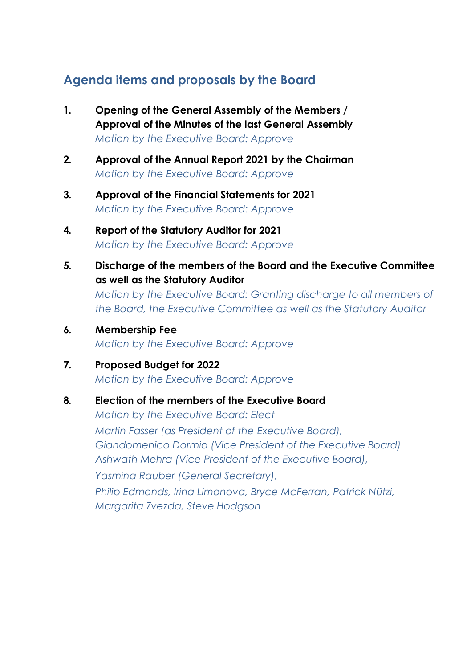# **Agenda items and proposals by the Board**

- **1. Opening of the General Assembly of the Members / Approval of the Minutes of the last General Assembly** *Motion by the Executive Board: Approve*
- **2. Approval of the Annual Report 2021 by the Chairman** *Motion by the Executive Board: Approve*
- **3. Approval of the Financial Statements for 2021** *Motion by the Executive Board: Approve*
- **4. Report of the Statutory Auditor for 2021** *Motion by the Executive Board: Approve*
- **5. Discharge of the members of the Board and the Executive Committee as well as the Statutory Auditor** *Motion by the Executive Board: Granting discharge to all members of the Board, the Executive Committee as well as the Statutory Auditor*
- **6. Membership Fee** *Motion by the Executive Board: Approve*
- **7. Proposed Budget for 2022** *Motion by the Executive Board: Approve*

### **8. Election of the members of the Executive Board**

*Motion by the Executive Board: Elect Martin Fasser (as President of the Executive Board), Giandomenico Dormio (Vice President of the Executive Board) Ashwath Mehra (Vice President of the Executive Board), Yasmina Rauber (General Secretary), Philip Edmonds, Irina Limonova, Bryce McFerran, Patrick Nützi, Margarita Zvezda, Steve Hodgson*